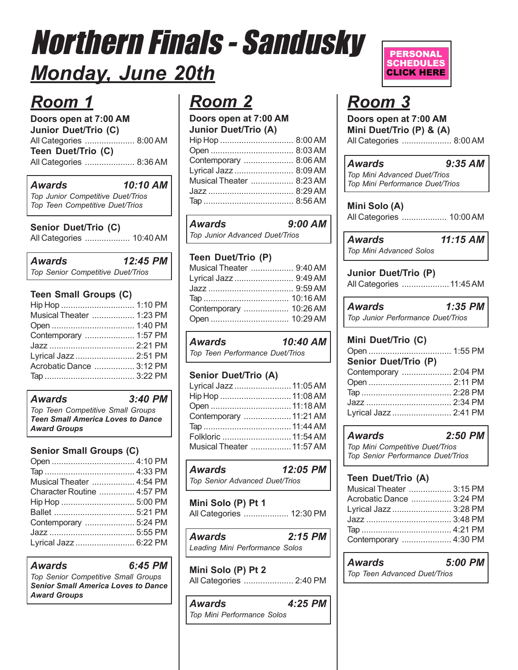# Northern Finals - Sandusky *Monday, June 20th*

### *Room 1*

**Doors open at 7:00 AM Junior Duet/Trio (C)** All Categories ..................... 8:00 AM **Teen Duet/Trio (C)** All Categories ..................... 8:36 AM

#### *Awards 10:10 AM*

*Top Junior Competitive Duet/Trios Top Teen Competitive Duet/Trios*

#### **Senior Duet/Trio (C)**

All Categories ................... 10:40 AM

*Awards 12:45 PM Top Senior Competitive Duet/Trios*

#### **Teen Small Groups (C)**

| Musical Theater  1:23 PM |  |
|--------------------------|--|
|                          |  |
| Contemporary  1:57 PM    |  |
|                          |  |
| Lyrical Jazz  2:51 PM    |  |
| Acrobatic Dance  3:12 PM |  |
|                          |  |

#### *Awards 3:40 PM*

*Top Teen Competitive Small Groups Teen Small America Loves to Dance Award Groups*

#### **Senior Small Groups (C)**

| Musical Theater  4:54 PM   |  |
|----------------------------|--|
| Character Routine  4:57 PM |  |
|                            |  |
|                            |  |
| Contemporary  5:24 PM      |  |
|                            |  |
| Lyrical Jazz  6:22 PM      |  |
|                            |  |

#### *Awards 6:45 PM*

*Top Senior Competitive Small Groups Senior Small America Loves to Dance Award Groups*

### *Room 2*

**Doors open at 7:00 AM Junior Duet/Trio (A)**

| Contemporary  8:06 AM    |  |
|--------------------------|--|
| Lyrical Jazz  8:09 AM    |  |
| Musical Theater  8:23 AM |  |
|                          |  |
|                          |  |
|                          |  |

*Awards 9:00 AM Top Junior Advanced Duet/Trios*

#### **Teen Duet/Trio (P)**

| Musical Theater  9:40 AM |  |
|--------------------------|--|
| Lyrical Jazz  9:49 AM    |  |
|                          |  |
|                          |  |
| Contemporary  10:26 AM   |  |
|                          |  |
|                          |  |

*Awards 10:40 AM Top Teen Performance Duet/Trios*

#### **Senior Duet/Trio (A)**

| Lyrical Jazz  11:05 AM    |  |
|---------------------------|--|
|                           |  |
|                           |  |
| Contemporary  11:21 AM    |  |
|                           |  |
|                           |  |
| Musical Theater  11:57 AM |  |
|                           |  |

#### *Awards 12:05 PM*

*Top Senior Advanced Duet/Trios*

**Mini Solo (P) Pt 1** All Categories ................... 12:30 PM

| <b>Awards</b>                  | $2:15$ PM |  |
|--------------------------------|-----------|--|
| Leading Mini Performance Solos |           |  |

**Mini Solo (P) Pt 2** All Categories ..................... 2:40 PM

| <b>Awards</b>              | 4:25 PM |
|----------------------------|---------|
| Top Mini Performance Solos |         |

#### **PERSONAL SCHEDULES CLICK HERE**

### *Room 3*

**Doors open at 7:00 AM Mini Duet/Trio (P) & (A)** All Categories ..................... 8:00 AM

| Awards                          | $9:35$ AM |
|---------------------------------|-----------|
| Top Mini Advanced Duet/Trios    |           |
| Top Mini Performance Duet/Trios |           |

**Mini Solo (A)** All Categories ................... 10:00 AM

*Awards 11:15 AM Top Mini Advanced Solos*

**Junior Duet/Trio (P)** All Categories ....................11:45 AM

*Awards 1:35 PM Top Junior Performance Duet/Trios*

#### **Mini Duet/Trio (C)**

| Senior Duet/Trio (P)  |  |
|-----------------------|--|
| Contemporary  2:04 PM |  |
|                       |  |
|                       |  |
|                       |  |
| Lyrical Jazz  2:41 PM |  |

*Awards 2:50 PM*

*Top Mini Competitive Duet/Trios Top Senior Performance Duet/Trios*

#### **Teen Duet/Trio (A)**

| Musical Theater  3:15 PM |
|--------------------------|
|                          |
| Acrobatic Dance  3:24 PM |
| Lyrical Jazz  3:28 PM    |
|                          |
|                          |
| Contemporary  4:30 PM    |
|                          |

### *Awards 5:00 PM*

*Top Teen Advanced Duet/Trios*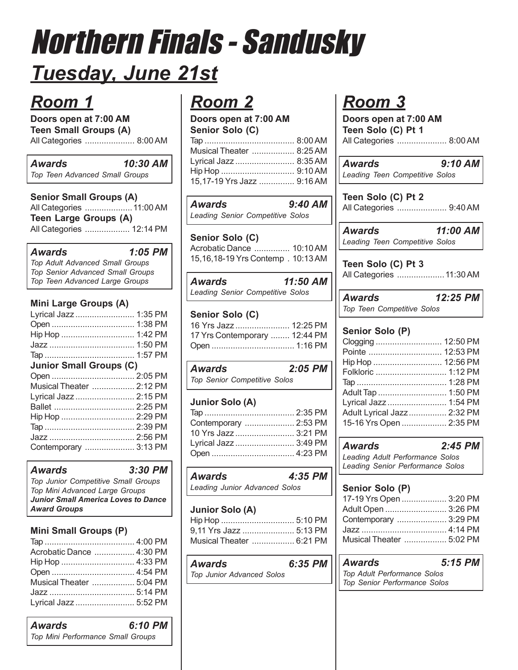# Northern Finals - Sandusky *Tuesday, June 21st*

### *Room 1*

**Doors open at 7:00 AM Teen Small Groups (A)** All Categories ..................... 8:00 AM

#### *Awards 10:30 AM Top Teen Advanced Small Groups*

**Senior Small Groups (A)** All Categories ....................11:00 AM **Teen Large Groups (A)** All Categories ................... 12:14 PM

#### *Awards 1:05 PM*

*Top Adult Advanced Small Groups Top Senior Advanced Small Groups Top Teen Advanced Large Groups*

#### **Mini Large Groups (A)**

| Lyrical Jazz  1:35 PM          |  |
|--------------------------------|--|
|                                |  |
|                                |  |
|                                |  |
|                                |  |
| <b>Junior Small Groups (C)</b> |  |
|                                |  |
| Musical Theater  2:12 PM       |  |
| Lyrical Jazz  2:15 PM          |  |
|                                |  |
|                                |  |
|                                |  |
|                                |  |
| Contemporary  3:13 PM          |  |
|                                |  |

#### *Awards 3:30 PM*

*Top Junior Competitive Small Groups Top Mini Advanced Large Groups Junior Small America Loves to Dance Award Groups*

#### **Mini Small Groups (P)**

| Acrobatic Dance  4:30 PM |  |
|--------------------------|--|
|                          |  |
|                          |  |
| Musical Theater  5:04 PM |  |
|                          |  |
| Lyrical Jazz  5:52 PM    |  |

### *Room 2*

**Doors open at 7:00 AM Senior Solo (C)** Tap ...................................... 8:00 AM Musical Theater .................. 8:25 AM Lyrical Jazz ......................... 8:35 AM Hip Hop ............................... 9:10 AM 15,17-19 Yrs Jazz ............... 9:16 AM

#### *Awards 9:40 AM Leading Senior Competitive Solos*

**Senior Solo (C)** Acrobatic Dance ............... 10:10 AM 15,16,18-19 Yrs Contemp . 10:13 AM

| Awards | 11:50 AM                         |  |
|--------|----------------------------------|--|
|        | Leading Senior Competitive Solos |  |

#### **Senior Solo (C)**

| 16 Yrs Jazz  12:25 PM         |  |
|-------------------------------|--|
| 17 Yrs Contemporary  12:44 PM |  |
|                               |  |

| Awards                              | 2:05 PM |  |
|-------------------------------------|---------|--|
| <b>Top Senior Competitive Solos</b> |         |  |

#### **Junior Solo (A)**

| Contemporary  2:53 PM |  |
|-----------------------|--|
| 10 Yrs Jazz  3:21 PM  |  |
| Lyrical Jazz  3:49 PM |  |
|                       |  |

| Awards                        | 4:35 PM |
|-------------------------------|---------|
| Leading Junior Advanced Solos |         |

#### **Junior Solo (A)**

| 9,11 Yrs Jazz  5:13 PM   |
|--------------------------|
| Musical Theater  6:21 PM |

*Awards 6:35 PM Top Junior Advanced Solos*

### *Room 3*

**Doors open at 7:00 AM Teen Solo (C) Pt 1** All Categories ..................... 8:00 AM

*Awards 9:10 AM Leading Teen Competitive Solos*

**Teen Solo (C) Pt 2** All Categories ..................... 9:40 AM

*Awards 11:00 AM Leading Teen Competitive Solos*

**Teen Solo (C) Pt 3** All Categories ....................11:30 AM

*Awards 12:25 PM Top Teen Competitive Solos*

#### **Senior Solo (P)**

| Pointe  12:53 PM           |  |
|----------------------------|--|
| Hip Hop  12:56 PM          |  |
| Folkloric  1:12 PM         |  |
|                            |  |
|                            |  |
| Lyrical Jazz  1:54 PM      |  |
| Adult Lyrical Jazz 2:32 PM |  |
| 15-16 Yrs Open  2:35 PM    |  |

| <b>Awards</b>                    | $2:45$ PM |
|----------------------------------|-----------|
| Leading Adult Performance Solos  |           |
| Leading Senior Performance Solos |           |

#### **Senior Solo (P)**

| 17-19 Yrs Open  3:20 PM  |  |
|--------------------------|--|
| Adult Open  3:26 PM      |  |
| Contemporary  3:29 PM    |  |
|                          |  |
| Musical Theater  5:02 PM |  |
|                          |  |

#### *Awards 5:15 PM*

*Top Adult Performance Solos Top Senior Performance Solos*

| <b>Awards</b>                     | 6:10 PM |
|-----------------------------------|---------|
| Top Mini Performance Small Groups |         |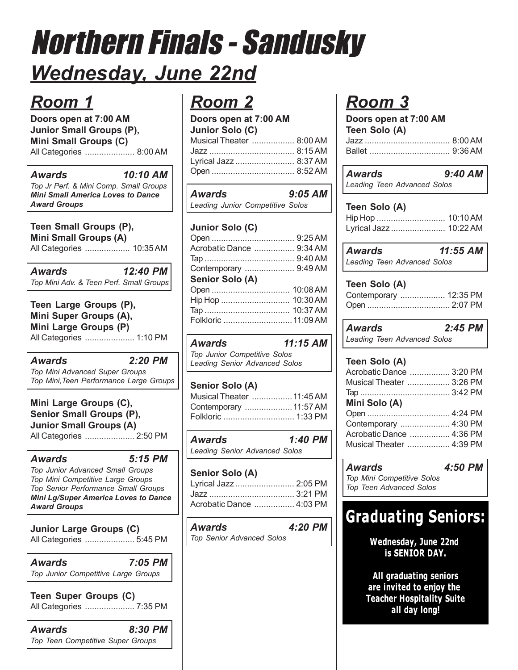## Northern Finals - Sandusky *Wednesday, June 22nd*

### *Room 1*

**Doors open at 7:00 AM Junior Small Groups (P), Mini Small Groups (C)** All Categories ..................... 8:00 AM

*Awards 10:10 AM Top Jr Perf. & Mini Comp. Small Groups Mini Small America Loves to Dance Award Groups*

#### **Teen Small Groups (P), Mini Small Groups (A)**

All Categories ................... 10:35 AM

| Awards | 12:40 PM                                |
|--------|-----------------------------------------|
|        | Top Mini Adv. & Teen Perf. Small Groups |

**Teen Large Groups (P), Mini Super Groups (A), Mini Large Groups (P)** All Categories ..................... 1:10 PM

#### *Awards 2:20 PM*

*Top Mini Advanced Super Groups Top Mini,Teen Performance Large Groups*

**Mini Large Groups (C), Senior Small Groups (P), Junior Small Groups (A)** All Categories ..................... 2:50 PM

*Awards 5:15 PM Top Junior Advanced Small Groups Top Mini Competitive Large Groups Top Senior Performance Small Groups Mini Lg/Super America Loves to Dance Award Groups*

**Junior Large Groups (C)** All Categories ..................... 5:45 PM

*Awards 7:05 PM Top Junior Competitive Large Groups*

**Teen Super Groups (C)** All Categories ..................... 7:35 PM

*Awards 8:30 PM Top Teen Competitive Super Groups*

### *Room 2*

**Doors open at 7:00 AM Junior Solo (C)**

| $5.11151$ $5.515$ $(5)$  |  |
|--------------------------|--|
| Musical Theater  8:00 AM |  |
|                          |  |
| Lyrical Jazz  8:37 AM    |  |
|                          |  |
|                          |  |

| <b>Awards</b>                    | $9:05$ AM |
|----------------------------------|-----------|
| Leading Junior Competitive Solos |           |

### **Junior Solo (C)**

| Acrobatic Dance  9:34 AM                                                         |                     |
|----------------------------------------------------------------------------------|---------------------|
|                                                                                  |                     |
| Contemporary  9:49 AM                                                            |                     |
| Senior Solo (A)                                                                  |                     |
|                                                                                  |                     |
|                                                                                  |                     |
| $\mathsf{T}_{\mathsf{a}\mathsf{n}}$ , and the state of $\mathsf{a}\in\mathsf{a}$ | $10.37$ $\Lambda$ M |

| ПІР ПОР ………………………   IU.ƏU AIVI |  |
|--------------------------------|--|
|                                |  |
| Folkloric  11:09 AM            |  |
|                                |  |

#### *Awards 11:15 AM*

*Top Junior Competitive Solos Leading Senior Advanced Solos*

### **Senior Solo (A)**

| Musical Theater  11:45 AM |  |
|---------------------------|--|
| Contemporary  11:57 AM    |  |
|                           |  |

| <b>Awards</b>                 | 1:40 PM |
|-------------------------------|---------|
| Leading Senior Advanced Solos |         |

#### **Senior Solo (A)** Lyrical Jazz ......................... 2:05 PM Jazz .................................... 3:21 PM Acrobatic Dance ................. 4:03 PM

*Awards 4:20 PM Top Senior Advanced Solos*

### *Room 3*

| Doors open at 7:00 AM |  |
|-----------------------|--|
| Teen Solo (A)         |  |
|                       |  |
| Ballet  9:36 AM       |  |
|                       |  |

| Awards |                             | 9:40 AM |  |
|--------|-----------------------------|---------|--|
|        | Leading Teen Advanced Solos |         |  |

| Teen Solo (A) |  |
|---------------|--|
|               |  |

| .                      |  |
|------------------------|--|
| Hip Hop  10:10 AM      |  |
| Lyrical Jazz  10:22 AM |  |

| Awards |                             | 11:55 AM |
|--------|-----------------------------|----------|
|        | Leading Teen Advanced Solos |          |

#### **Teen Solo (A)**

| Contemporary  12:35 PM |  |  |
|------------------------|--|--|
|                        |  |  |

*Awards 2:45 PM Leading Teen Advanced Solos*

#### **Teen Solo (A)**

| Acrobatic Dance  3:20 PM |  |
|--------------------------|--|
| Musical Theater  3:26 PM |  |
|                          |  |
| Mini Solo (A)            |  |
|                          |  |
|                          |  |
| Contemporary  4:30 PM    |  |
| Acrobatic Dance  4:36 PM |  |
| Musical Theater  4:39 PM |  |

*Awards 4:50 PM*

*Top Mini Competitive Solos Top Teen Advanced Solos*

### **Graduating Seniors:**

**Wednesday, June 22nd** is SENIOR DAY.

All graduating seniors are invited to enjoy the **Teacher Hospitality Suite** all day long!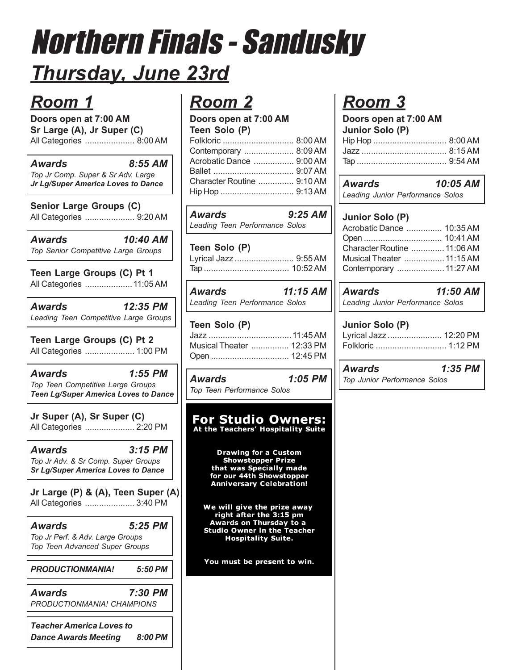## Northern Finals - Sandusky *Thursday, June 23rd*

### *Room 1*

**Doors open at 7:00 AM Sr Large (A), Jr Super (C)** All Categories ..................... 8:00 AM

#### *Awards 8:55 AM*

*Top Jr Comp. Super & Sr Adv. Large Jr Lg/Super America Loves to Dance*

**Senior Large Groups (C)** All Categories ..................... 9:20 AM

*Awards 10:40 AM Top Senior Competitive Large Groups*

**Teen Large Groups (C) Pt 1** All Categories ....................11:05 AM

*Awards 12:35 PM Leading Teen Competitive Large Groups*

**Teen Large Groups (C) Pt 2** All Categories ..................... 1:00 PM

*Awards 1:55 PM Top Teen Competitive Large Groups Teen Lg/Super America Loves to Dance*

**Jr Super (A), Sr Super (C)** All Categories ..................... 2:20 PM

*Awards 3:15 PM Top Jr Adv. & Sr Comp. Super Groups Sr Lg/Super America Loves to Dance*

**Jr Large (P) & (A), Teen Super (A)** All Categories ..................... 3:40 PM

*Awards 5:25 PM Top Jr Perf. & Adv. Large Groups Top Teen Advanced Super Groups*

*PRODUCTIONMANIA! 5:50 PM*

*Awards 7:30 PM PRODUCTIONMANIA! CHAMPIONS*

*Teacher America Loves to Dance Awards Meeting 8:00 PM*

### *Room 2*

**Doors open at 7:00 AM Teen Solo (P)**

| $10011$ UVIV $111$             |  |
|--------------------------------|--|
| Folkloric  8:00 AM             |  |
| Contemporary  8:09 AM          |  |
| Acrobatic Dance ……………. 9:00 AM |  |
|                                |  |
| Character Routine  9:10 AM     |  |
|                                |  |
|                                |  |

*Awards 9:25 AM Leading Teen Performance Solos*

| Teen Solo (P)         |  |
|-----------------------|--|
| Lyrical Jazz  9:55 AM |  |
|                       |  |

*Awards 11:15 AM Leading Teen Performance Solos*

#### **Teen Solo (P)** Jazz ...................................11:45 AM Musical Theater ................ 12:33 PM Open ................................. 12:45 PM

*Awards 1:05 PM Top Teen Performance Solos*

### **For Studio Owners:** At the Teachers' Hospitality Suite

**Drawing for a Custom Showstopper Prize** that was Specially made<br>for our 44th Showstopper **Anniversary Celebration!** 

We will give the prize away right after the 3:15 pm **Awards on Thursday to a Studio Owner in the Teacher Hospitality Suite.** 

You must be present to win.

## *Room 3*

| Doors open at 7:00 AM |  |
|-----------------------|--|
| Junior Solo (P)       |  |
| Hip Hop  8:00 AM      |  |
|                       |  |
|                       |  |

| <b>Awards</b> | 10:05 AM                         |
|---------------|----------------------------------|
|               | Leading Junior Performance Solos |

#### **Junior Solo (P)**

| Acrobatic Dance  10:35 AM   |  |
|-----------------------------|--|
|                             |  |
| Character Routine  11:06 AM |  |
| Musical Theater  11:15 AM   |  |
| Contemporary  11:27 AM      |  |

*Awards 11:50 AM Leading Junior Performance Solos*

#### **Junior Solo (P)**

| Lyrical Jazz  12:20 PM |  |
|------------------------|--|
|                        |  |

*Awards 1:35 PM Top Junior Performance Solos*